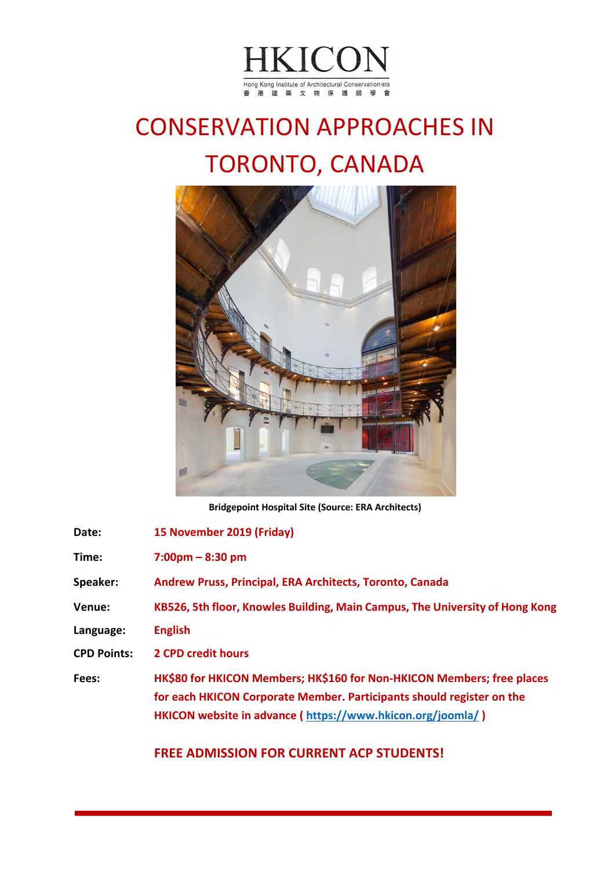

# CONSERVATION APPROACHES IN TORONTO, CANADA



**Bridgepoint Hospital Site (Source: ERA Architects)**

| Date:              | 15 November 2019 (Friday)                                                                                                                                                                                     |
|--------------------|---------------------------------------------------------------------------------------------------------------------------------------------------------------------------------------------------------------|
| Time:              | $7:00 \text{pm} - 8:30 \text{pm}$                                                                                                                                                                             |
| <b>Speaker:</b>    | Andrew Pruss, Principal, ERA Architects, Toronto, Canada                                                                                                                                                      |
| Venue:             | KB526, 5th floor, Knowles Building, Main Campus, The University of Hong Kong                                                                                                                                  |
| Language:          | <b>English</b>                                                                                                                                                                                                |
| <b>CPD Points:</b> | <b>2 CPD credit hours</b>                                                                                                                                                                                     |
| Fees:              | HK\$80 for HKICON Members; HK\$160 for Non-HKICON Members; free places<br>for each HKICON Corporate Member. Participants should register on the<br>HKICON website in advance (https://www.hkicon.org/joomla/) |

**FREE ADMISSION FOR CURRENT ACP STUDENTS!**